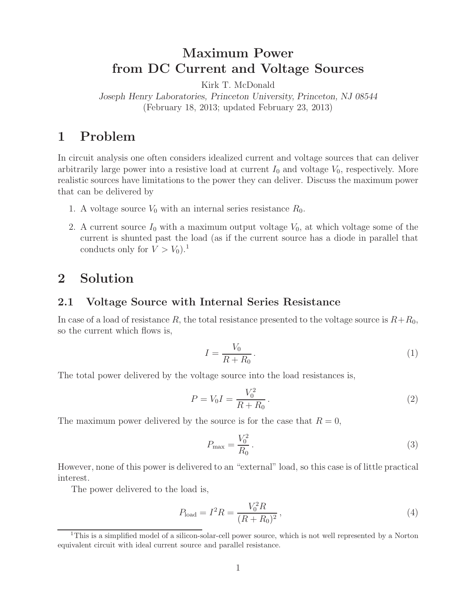# **Maximum Power from DC Current and Voltage Sources**

Kirk T. McDonald

*Joseph Henry Laboratories, Princeton University, Princeton, NJ 08544* (February 18, 2013; updated February 23, 2013)

# **1 Problem**

In circuit analysis one often considers idealized current and voltage sources that can deliver arbitrarily large power into a resistive load at current  $I_0$  and voltage  $V_0$ , respectively. More realistic sources have limitations to the power they can deliver. Discuss the maximum power that can be delivered by

- 1. A voltage source  $V_0$  with an internal series resistance  $R_0$ .
- 2. A current source  $I_0$  with a maximum output voltage  $V_0$ , at which voltage some of the current is shunted past the load (as if the current source has a diode in parallel that conducts only for  $V > V_0$ ).<sup>1</sup>

## **2 Solution**

## **2.1 Voltage Source with Internal Series Resistance**

In case of a load of resistance *R*, the total resistance presented to the voltage source is  $R+R_0$ , so the current which flows is,

$$
I = \frac{V_0}{R + R_0}.\tag{1}
$$

The total power delivered by the voltage source into the load resistances is,

$$
P = V_0 I = \frac{V_0^2}{R + R_0}.
$$
\n(2)

The maximum power delivered by the source is for the case that  $R = 0$ ,

$$
P_{\text{max}} = \frac{V_0^2}{R_0} \,. \tag{3}
$$

However, none of this power is delivered to an "external" load, so this case is of little practical interest.

The power delivered to the load is,

$$
P_{\text{load}} = I^2 R = \frac{V_0^2 R}{(R + R_0)^2},\tag{4}
$$

<sup>&</sup>lt;sup>1</sup>This is a simplified model of a silicon-solar-cell power source, which is not well represented by a Norton equivalent circuit with ideal current source and parallel resistance.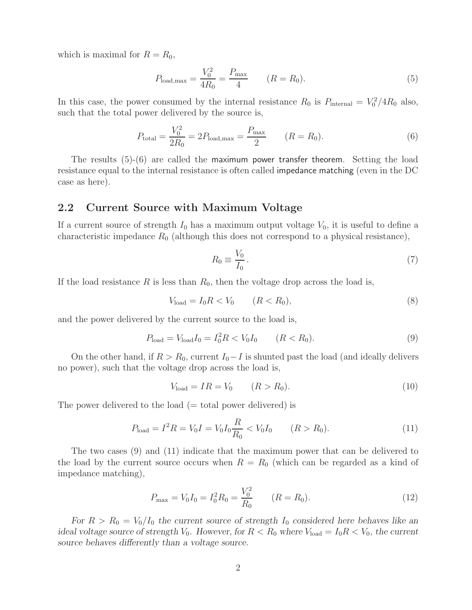which is maximal for  $R = R_0$ ,

$$
P_{\text{load,max}} = \frac{V_0^2}{4R_0} = \frac{P_{\text{max}}}{4} \qquad (R = R_0). \tag{5}
$$

In this case, the power consumed by the internal resistance  $R_0$  is  $P_{\text{internal}} = V_0^2/4R_0$  also, such that the total power delivered by the source is,

$$
P_{\text{total}} = \frac{V_0^2}{2R_0} = 2P_{\text{load,max}} = \frac{P_{\text{max}}}{2} \qquad (R = R_0). \tag{6}
$$

The results  $(5)-(6)$  are called the maximum power transfer theorem. Setting the load resistance equal to the internal resistance is often called impedance matching (even in the DC case as here).

#### **2.2 Current Source with Maximum Voltage**

If a current source of strength  $I_0$  has a maximum output voltage  $V_0$ , it is useful to define a characteristic impedance  $R_0$  (although this does not correspond to a physical resistance),

$$
R_0 \equiv \frac{V_0}{I_0} \,. \tag{7}
$$

If the load resistance *R* is less than *R*0, then the voltage drop across the load is,

$$
V_{\text{load}} = I_0 R < V_0 \qquad (R < R_0), \tag{8}
$$

and the power delivered by the current source to the load is,

$$
P_{\text{load}} = V_{\text{load}} I_0 = I_0^2 R < V_0 I_0 \qquad (R < R_0). \tag{9}
$$

On the other hand, if  $R > R_0$ , current  $I_0 - I$  is shunted past the load (and ideally delivers no power), such that the voltage drop across the load is,

$$
V_{\text{load}} = IR = V_0 \qquad (R > R_0). \tag{10}
$$

The power delivered to the load  $(= total$  power delivered) is

$$
P_{\text{load}} = I^2 R = V_0 I = V_0 I_0 \frac{R}{R_0} < V_0 I_0 \qquad (R > R_0). \tag{11}
$$

The two cases (9) and (11) indicate that the maximum power that can be delivered to the load by the current source occurs when  $R = R_0$  (which can be regarded as a kind of impedance matching),

$$
P_{\text{max}} = V_0 I_0 = I_0^2 R_0 = \frac{V_0^2}{R_0} \qquad (R = R_0).
$$
 (12)

*For*  $R > R_0 = V_0/I_0$  *the current source of strength*  $I_0$  *considered here behaves like an ideal voltage source of strength*  $V_0$ *. However, for*  $R < R_0$  *where*  $V_{load} = I_0 R < V_0$ *, the current source behaves differently than a voltage source.*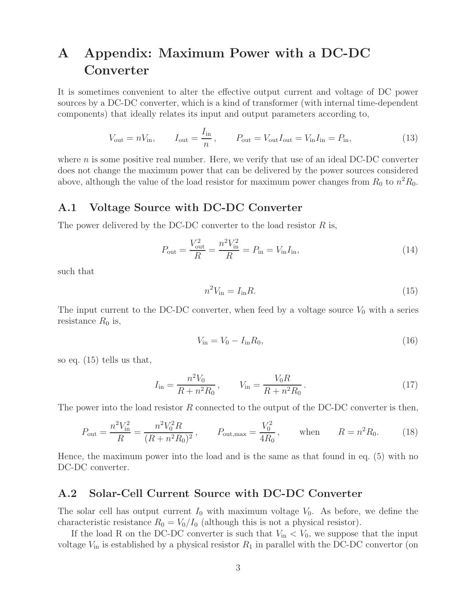# **A Appendix: Maximum Power with a DC-DC Converter**

It is sometimes convenient to alter the effective output current and voltage of DC power sources by a DC-DC converter, which is a kind of transformer (with internal time-dependent components) that ideally relates its input and output parameters according to,

$$
V_{\text{out}} = nV_{\text{in}}, \qquad I_{\text{out}} = \frac{I_{\text{in}}}{n}, \qquad P_{\text{out}} = V_{\text{out}} I_{\text{out}} = V_{\text{in}} I_{\text{in}} = P_{\text{in}}, \tag{13}
$$

where *n* is some positive real number. Here, we verify that use of an ideal DC-DC converter does not change the maximum power that can be delivered by the power sources considered above, although the value of the load resistor for maximum power changes from  $R_0$  to  $n^2R_0$ .

## **A.1 Voltage Source with DC-DC Converter**

The power delivered by the DC-DC converter to the load resistor *R* is,

$$
P_{\text{out}} = \frac{V_{\text{out}}^2}{R} = \frac{n^2 V_{\text{in}}^2}{R} = P_{\text{in}} = V_{\text{in}} I_{\text{in}},
$$
\n(14)

such that

$$
n^2 V_{\rm in} = I_{\rm in} R. \tag{15}
$$

The input current to the DC-DC converter, when feed by a voltage source  $V_0$  with a series resistance  $R_0$  is,

$$
V_{\rm in} = V_0 - I_{\rm in} R_0,\tag{16}
$$

so eq. (15) tells us that,

$$
I_{\rm in} = \frac{n^2 V_0}{R + n^2 R_0}, \qquad V_{\rm in} = \frac{V_0 R}{R + n^2 R_0}.
$$
\n(17)

The power into the load resistor *R* connected to the output of the DC-DC converter is then,

$$
P_{\text{out}} = \frac{n^2 V_{\text{in}}^2}{R} = \frac{n^2 V_0^2 R}{(R + n^2 R_0)^2}, \qquad P_{\text{out,max}} = \frac{V_0^2}{4R_0}, \qquad \text{when} \qquad R = n^2 R_0. \tag{18}
$$

Hence, the maximum power into the load and is the same as that found in eq. (5) with no DC-DC converter.

## **A.2 Solar-Cell Current Source with DC-DC Converter**

The solar cell has output current  $I_0$  with maximum voltage  $V_0$ . As before, we define the characteristic resistance  $R_0 = V_0/I_0$  (although this is not a physical resistor).

If the load R on the DC-DC converter is such that  $V_{\text{in}} < V_0$ , we suppose that the input voltage  $V_{\text{in}}$  is established by a physical resistor  $R_1$  in parallel with the DC-DC convertor (on